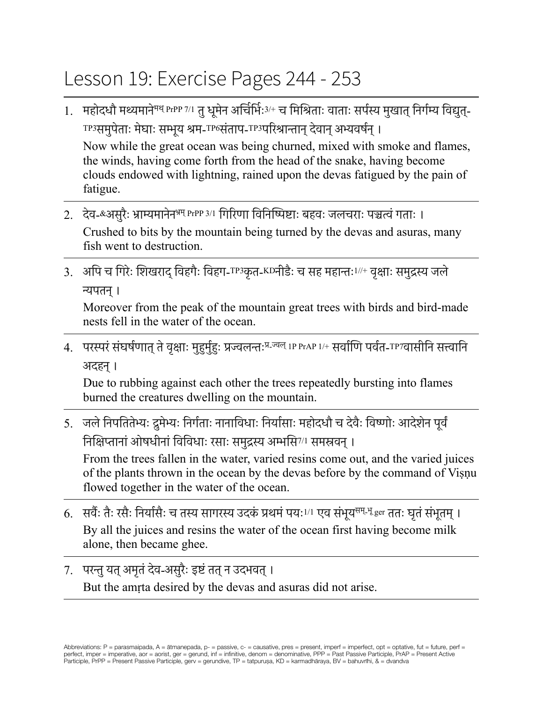## Lesson 19: Exercise Pages 244 - 253

- 1. महोदधौ मथ्यमाने<sup>मथ् PrPP 7/1 तु धूमेन अर्चिर्मिः3/+ च मिश्रिताः वाताः सर्पस्य मुखात् निर्गम्य विद्युत्-</sup> TP3समुपेताः मेघाः सम्भूय श्रम-TP6संताप-TP3परिश्रान्तान् देवान् अभ्यवर्षन् । Now while the great ocean was being churned, mixed with smoke and flames, the winds, having come forth from the head of the snake, having become clouds endowed with lightning, rained upon the devas fatigued by the pain of fatigue.
- 2. देव-&असुरैः भ्राम्यमानेनभ्रम् PrPP 3/1 गिरिणा विनिष्पिष्टाः बहवः जलचराः पञ्चत्वंगताः । Crushed to bits by the mountain being turned by the devas and asuras, many fish went to destruction.
- 3. अपि च गिरेः शिखराद् विहगैः विहग-TP3कृत-KDनीडैः च सह महान्तः<sup>1//+</sup> वृक्षाः समुद्रस्य जले न्यपतन्।

Moreover from the peak of the mountain great trees with birds and bird-made nests fell in the water of the ocean.

4. परस्परं संघर्षणात् ते वृक्षाः मुहुर्मुहुः प्रज्वलन्तः<sup>प्र\_ज्वल् 1P PrAP 1/+ सर्वाणि पर्वत-TP7वासीनि सत्त्वानि</sup> अदहन्।

Due to rubbing against each other the trees repeatedly bursting into flames burned the creatures dwelling on the mountain.

5. जले निपतितेभ्यः द्रुमेभ्यः निर्गताः नानाविधाः निर्यासाः महोदधौ च देवैः विष्णोः आदेशेन पूर्वं निक्षिप्तानांओषधीनांविविधाः रसाः समुद्रस्य अम्भसि7/1 समस्रवन्।

From the trees fallen in the water, varied resins come out, and the varied juices of the plants thrown in the ocean by the devas before by the command of Viṣṇu flowed together in the water of the ocean.

- 6. सर्वैः तैः रसैः निर्यासैः च तस्य सागरस्य उदकं प्रथमं पयः<sup>1/1</sup> एव संभुय<sup>सम् भू</sup> ger ततः घतं संभूतम् । By all the juices and resins the water of the ocean first having become milk alone, then became ghee.
- 7. परन्तुयत्अमृतंदेव-असुरैः इष्टंतत्न उदभवत्। But the amṛta desired by the devas and asuras did not arise.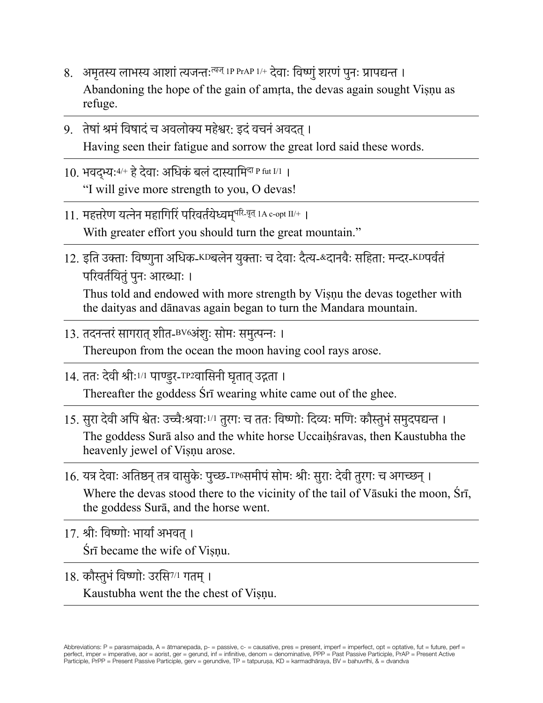- 8. अमृतस्य लाभस्य आशां त्यजन्तः<sup>त्यज्</sup> IP PrAP 1/+ देवाः विष्णुं शरणं पुनः प्रापद्यन्त । Abandoning the hope of the gain of amṛta, the devas again sought Viṣṇu as refuge.
- 9. तेषांश्रमंविषादंच अवलोक्य महेश्वर: इदंवचनंअवदत्। Having seen their fatigue and sorrow the great lord said these words.
- 10. भवदभ्यः <sup>4/+</sup> हे देवाः अधिकं बलं दास्यामि<sup>दा P fut I/1 ।</sup> "I will give more strength to you, O devas!
- 11. महत्तरेण यत्नेन महागिरिं परिवर्तयेध्वम्परि-वृत् 1A c-opt II/+ । With greater effort you should turn the great mountain."
- 12. इति उक्ताः विष्णुना अधिक-KDबलेन युक्ताः च देवाः दैत्य-&दानवैः सहिता: मन्दर-KDपर्वतं परिवर्तयितं पनः आरब्धाः ।

Thus told and endowed with more strength by Viṣṇu the devas together with the daityas and dānavas again began to turn the Mandara mountain.

- 13. तदनन्तरंसागरात्शीत-BV6अंशुः सोमः समुत्पन्नः । Thereupon from the ocean the moon having cool rays arose.
- 14. ततः देवी श्रीः<sup>1/1</sup> पाण्डुर-<sup>TP2</sup>वासिनी घतात् उद्गता । Thereafter the goddess Śrī wearing white came out of the ghee.
- 15. सुरा देवी अपि श्वेतः उच्चैःश्रवाः1/1 तुरगः च ततः विष्णोः दिव्यः मणिः कौस्तुभंसमुदपद्यन्त । The goddess Surā also and the white horse Uccaiḥśravas, then Kaustubha the heavenly jewel of Viṣṇu arose.
- 16. यत्र देवाः अतिष्ठन् तत्र वासुकेः पुच्छ-TP6समीपं सोमः श्रीः सुराः देवी तुरगः च अगच्छन् । Where the devas stood there to the vicinity of the tail of Vāsuki the moon, Śrī, the goddess Surā, and the horse went.
- 17. श्रीः विष्णोः भार्याअभवत्। Śrī became the wife of Viṣṇu.
- 18. कौस्तुभंविष्णोः उरसि7/1 गतम्। Kaustubha went the the chest of Visnu.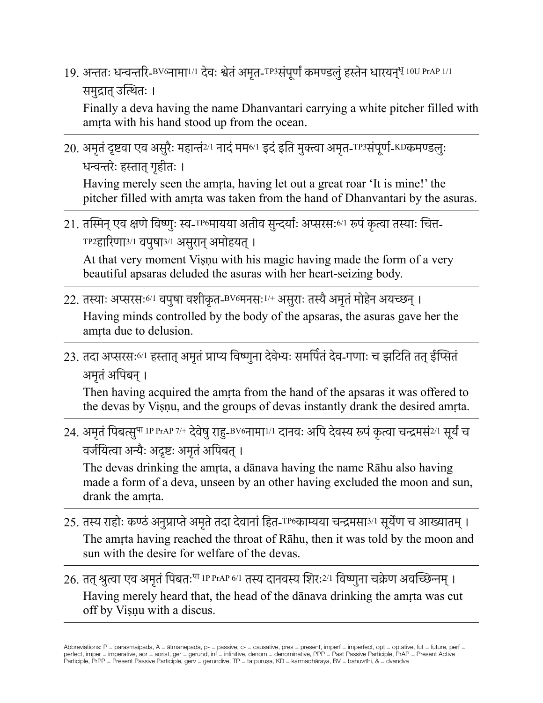19. अन्ततः धन्वन्तरि-BV6नामा<sup>1/1</sup> देवः श्वेतं अमृत-TP3संपूर्णं कमण्डलुं हस्तेन धारयन्<sup>धृ</sup> 10U PrAP 1/1 समुद्रात् उत्थितः ।

Finally a deva having the name Dhanvantari carrying a white pitcher filled with amrta with his hand stood up from the ocean.

20. अमृतं दृष्टवा एव असुरैः महान्तं<sup>2/1</sup> नादं मम<sup>6/1</sup> इदं इति मुक्त्वा अमृत-TP3संपूर्ण-KDकमण्डलुः धन्वन्तरेः हस्तात गहीतः ।

Having merely seen the amṛta, having let out a great roar 'It is mine!' the pitcher filled with amṛta was taken from the hand of Dhanvantari by the asuras.

21. तस्मिन् एव क्षणे विष्णूः स्व-TP6मायया अतीव सुन्दर्याः अप्सरसः<sup>6/1</sup> रूपं कृत्वा तस्याः चित्त-TP2हारिणा3/1 वपुषा3/1 असुरान्अमोहयत्।

At that very moment Viṣṇu with his magic having made the form of a very beautiful apsaras deluded the asuras with her heart-seizing body.

- 22. तस्याः अप्सरसः<sup>6/1</sup> वपुषा वशीकृत-<sup>BV6</sup>मनसः<sup>1/+</sup> असुराः तस्यै अमृतं मोहेन अयच्छन् । Having minds controlled by the body of the apsaras, the asuras gave her the amrta due to delusion.
- 23. तदा अप्सरसः<sup>6/1</sup> हस्तात् अमतं प्राप्य विष्णुना देवेभ्यः समर्पितं देव-गणाः च झटिति तत् ईप्सितं अमतं अपिबन् ।

Then having acquired the amṛta from the hand of the apsaras it was offered to the devas by Viṣṇu, and the groups of devas instantly drank the desired amṛta.

24. अमृतं पिबत्सु<sup>पा 1P PrAP 7/+ देवेषु राहु-BV6नामा<sup>1/1</sup> दानवः अपि देवस्य रूपं कृत्वा चन्द्रमसं<sup>2/1</sup> सूर्यं च</sup> वर्जयित्वा अन्यैः अदृष्टः अमृतं अपिबत् ।

The devas drinking the amṛta, a dānava having the name Rāhu also having made a form of a deva, unseen by an other having excluded the moon and sun, drank the amṛta.

- 25. तस्य राहोः कण्ठं अनुप्राप्ते अमृते तदा देवानां हित-TP6काम्यया चन्द्रमसा3/I सुर्येण च आख्यातम् । The amṛta having reached the throat of Rāhu, then it was told by the moon and sun with the desire for welfare of the devas.
- 26. तत् श्रुत्वा एव अमृतं पिबतः<sup>पा 1P PrAP 6/1</sup> तस्य दानवस्य शिरः<sup>2/1</sup> विष्णुना चक्रेण अवच्छिन्नम् । Having merely heard that, the head of the dānava drinking the amṛta was cut off by Viṣṇu with a discus.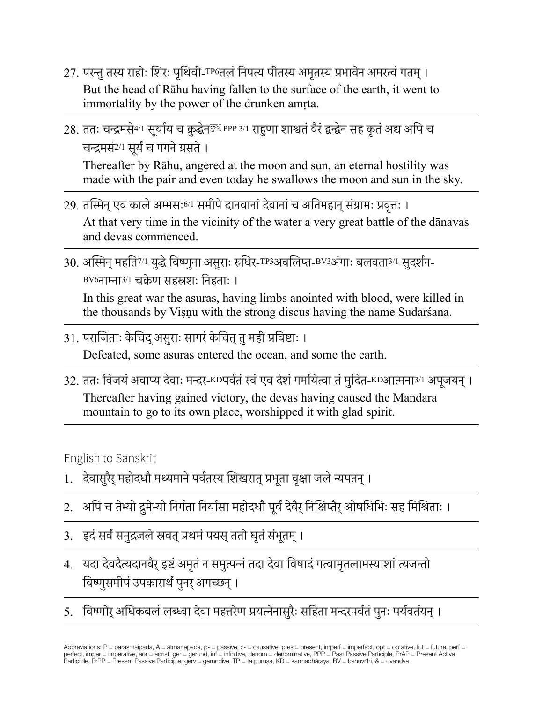- 27. परन्तुतस्य राहोः शिरः पृथिवी-TP6तलंनिपत्य पीतस्य अमृतस्य प्रभावेन अमरत्वंगतम्। But the head of Rāhu having fallen to the surface of the earth, it went to immortality by the power of the drunken amṛta.
- 28. ततः चन्द्रमसे<sup>4/1</sup> सूर्याय च क्रुद्धेन<sup>कुध् PPP 3/1</sup> राहुणा शाश्वतं वैरं द्वन्द्वेन सह कृतं अद्य अपि च चन्द्रमसं2/1 सूर्यंच गगनेग्रसते। Thereafter by Rāhu, angered at the moon and sun, an eternal hostility was made with the pair and even today he swallows the moon and sun in the sky.
- 29. तस्मिन् एव काले अम्भसः6/1 समीपे दानवानां देवानां च अतिमहान संग्रामः प्रवत्तः । At that very time in the vicinity of the water a very great battle of the dānavas and devas commenced.
- 30. अस्मिन् महति<sup>7/1</sup> युद्धे विष्णुना असुराः रुधिर-TP3अवलिप्त-BV3अंगाः बलवता<sup>3/1</sup> सुदर्शन-BV6नाम्ना3/1 चक्रेण सहस्रशः निहताः ।

In this great war the asuras, having limbs anointed with blood, were killed in the thousands by Viṣṇu with the strong discus having the name Sudarśana.

- 31. पराजिताः केचिद् असुराः सागरं केचित तु महीं प्रविष्टाः । Defeated, some asuras entered the ocean, and some the earth.
- 32. ततः विजयं अवाप्य देवाः मन्दर-KDपर्वतं स्वं एव देशं गमयित्वा तं मुदित-KDआत्मना<sup>3/1</sup> अपूजयन् । Thereafter having gained victory, the devas having caused the Mandara mountain to go to its own place, worshipped it with glad spirit.

English to Sanskrit

- 1. देवासुरैर् महोदधौ मथ्यमाने पर्वतस्य शिखरात् प्रभूता वृक्षा जले न्यपतन् ।
- 2. अपि च तेभ्यो द्रुमेभ्यो निर्गता निर्यासा महोदधौ पूर्वं देवैर् निक्षिप्तैर् ओषधिभिः सह मिश्रिताः ।
- 3. इदंसर्वंसमुद्रजलेस्रवत्प्रथमंपयस्ततो घृतंसंभूतम्।
- 4. यदा देवदैत्यदानवैर्इष्टंअमृतंन समुत्पन्नंतदा देवा विषादंगत्वामृतलाभस्याशांत्यजन्तो विष्णुसमीपंउपकारार्थंपुनर्अगच्छन्।
- 5. विष्णोर् अधिकबलं लब्ध्वा देवा महत्तरेण प्रयत्नेनासुरैः सहिता मन्दरपर्वतं पुनः पर्यवर्तयन् ।